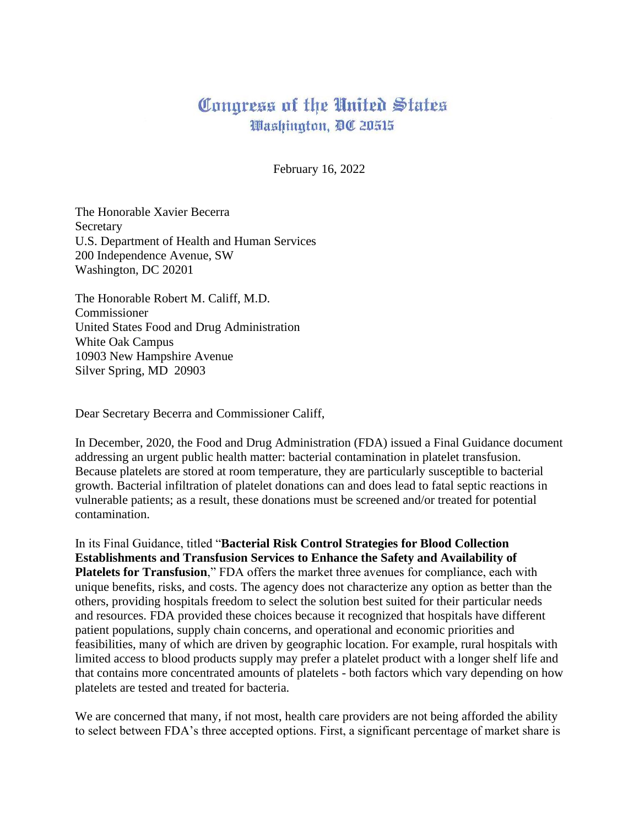## Congress of the United States Washington, DC 20515

February 16, 2022

The Honorable Xavier Becerra Secretary U.S. Department of Health and Human Services 200 Independence Avenue, SW Washington, DC 20201

The Honorable Robert M. Califf, M.D. Commissioner United States Food and Drug Administration White Oak Campus 10903 New Hampshire Avenue Silver Spring, MD 20903

Dear Secretary Becerra and Commissioner Califf,

In December, 2020, the Food and Drug Administration (FDA) issued a Final Guidance document addressing an urgent public health matter: bacterial contamination in platelet transfusion. Because platelets are stored at room temperature, they are particularly susceptible to bacterial growth. Bacterial infiltration of platelet donations can and does lead to fatal septic reactions in vulnerable patients; as a result, these donations must be screened and/or treated for potential contamination.

In its Final Guidance, titled "**Bacterial Risk Control Strategies for Blood Collection Establishments and Transfusion Services to Enhance the Safety and Availability of Platelets for Transfusion**," FDA offers the market three avenues for compliance, each with unique benefits, risks, and costs. The agency does not characterize any option as better than the others, providing hospitals freedom to select the solution best suited for their particular needs and resources. FDA provided these choices because it recognized that hospitals have different patient populations, supply chain concerns, and operational and economic priorities and feasibilities, many of which are driven by geographic location. For example, rural hospitals with limited access to blood products supply may prefer a platelet product with a longer shelf life and that contains more concentrated amounts of platelets - both factors which vary depending on how platelets are tested and treated for bacteria.

We are concerned that many, if not most, health care providers are not being afforded the ability to select between FDA's three accepted options. First, a significant percentage of market share is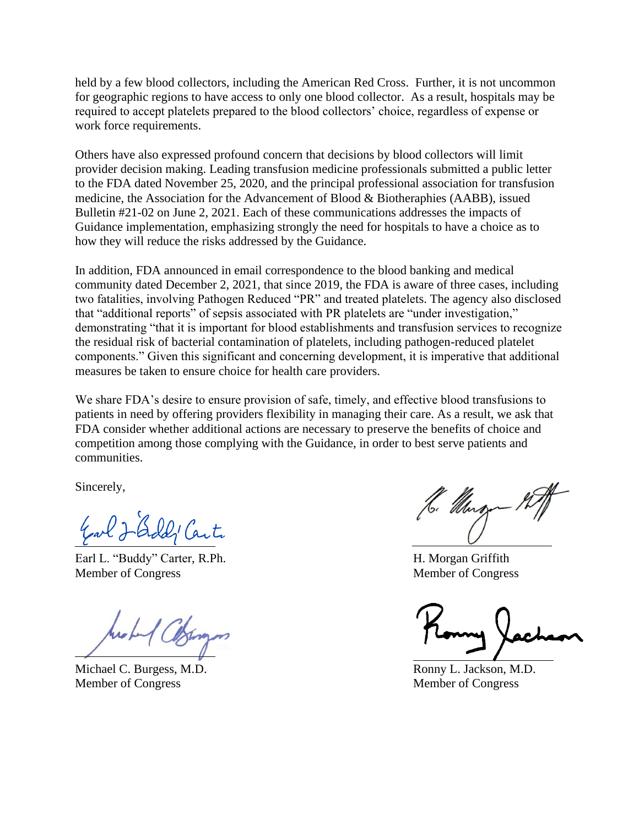held by a few blood collectors, including the American Red Cross. Further, it is not uncommon for geographic regions to have access to only one blood collector. As a result, hospitals may be required to accept platelets prepared to the blood collectors' choice, regardless of expense or work force requirements.

Others have also expressed profound concern that decisions by blood collectors will limit provider decision making. Leading transfusion medicine professionals submitted a public letter to the FDA dated November 25, 2020, and the principal professional association for transfusion medicine, the Association for the Advancement of Blood & Biotheraphies (AABB), issued Bulletin #21-02 on June 2, 2021. Each of these communications addresses the impacts of Guidance implementation, emphasizing strongly the need for hospitals to have a choice as to how they will reduce the risks addressed by the Guidance.

In addition, FDA announced in email correspondence to the blood banking and medical community dated December 2, 2021, that since 2019, the FDA is aware of three cases, including two fatalities, involving Pathogen Reduced "PR" and treated platelets. The agency also disclosed that "additional reports" of sepsis associated with PR platelets are "under investigation," demonstrating "that it is important for blood establishments and transfusion services to recognize the residual risk of bacterial contamination of platelets, including pathogen-reduced platelet components." Given this significant and concerning development, it is imperative that additional measures be taken to ensure choice for health care providers.

We share FDA's desire to ensure provision of safe, timely, and effective blood transfusions to patients in need by offering providers flexibility in managing their care. As a result, we ask that FDA consider whether additional actions are necessary to preserve the benefits of choice and competition among those complying with the Guidance, in order to best serve patients and communities.

Sincerely,

Earl J-Gold' Carte

Earl L. "Buddy" Carter, R.Ph. H. Morgan Griffith Member of Congress Member of Congress

Michael C. Burgess, M.D. **Ronny L. Jackson, M.D.** Ronny L. Jackson, M.D. Member of Congress Member of Congress

16. Murgo